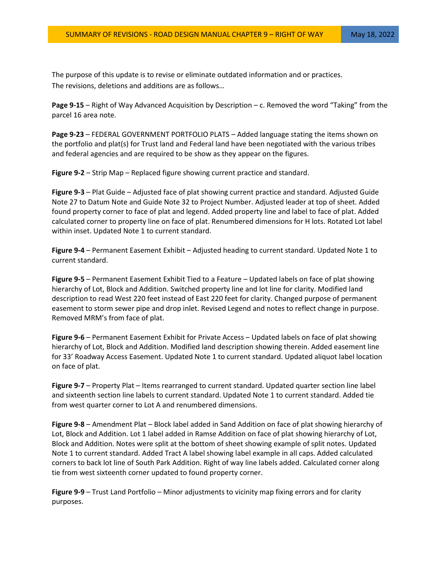The purpose of this update is to revise or eliminate outdated information and or practices. The revisions, deletions and additions are as follows…

**Page 9-15** – Right of Way Advanced Acquisition by Description – c. Removed the word "Taking" from the parcel 16 area note.

**Page 9-23** – FEDERAL GOVERNMENT PORTFOLIO PLATS – Added language stating the items shown on the portfolio and plat(s) for Trust land and Federal land have been negotiated with the various tribes and federal agencies and are required to be show as they appear on the figures.

**Figure 9-2** – Strip Map – Replaced figure showing current practice and standard.

**Figure 9-3** – Plat Guide – Adjusted face of plat showing current practice and standard. Adjusted Guide Note 27 to Datum Note and Guide Note 32 to Project Number. Adjusted leader at top of sheet. Added found property corner to face of plat and legend. Added property line and label to face of plat. Added calculated corner to property line on face of plat. Renumbered dimensions for H lots. Rotated Lot label within inset. Updated Note 1 to current standard.

**Figure 9-4** – Permanent Easement Exhibit – Adjusted heading to current standard. Updated Note 1 to current standard.

**Figure 9-5** – Permanent Easement Exhibit Tied to a Feature – Updated labels on face of plat showing hierarchy of Lot, Block and Addition. Switched property line and lot line for clarity. Modified land description to read West 220 feet instead of East 220 feet for clarity. Changed purpose of permanent easement to storm sewer pipe and drop inlet. Revised Legend and notes to reflect change in purpose. Removed MRM's from face of plat.

**Figure 9-6** – Permanent Easement Exhibit for Private Access – Updated labels on face of plat showing hierarchy of Lot, Block and Addition. Modified land description showing therein. Added easement line for 33' Roadway Access Easement. Updated Note 1 to current standard. Updated aliquot label location on face of plat.

**Figure 9-7** – Property Plat – Items rearranged to current standard. Updated quarter section line label and sixteenth section line labels to current standard. Updated Note 1 to current standard. Added tie from west quarter corner to Lot A and renumbered dimensions.

**Figure 9-8** – Amendment Plat – Block label added in Sand Addition on face of plat showing hierarchy of Lot, Block and Addition. Lot 1 label added in Ramse Addition on face of plat showing hierarchy of Lot, Block and Addition. Notes were split at the bottom of sheet showing example of split notes. Updated Note 1 to current standard. Added Tract A label showing label example in all caps. Added calculated corners to back lot line of South Park Addition. Right of way line labels added. Calculated corner along tie from west sixteenth corner updated to found property corner.

**Figure 9-9** – Trust Land Portfolio – Minor adjustments to vicinity map fixing errors and for clarity purposes.